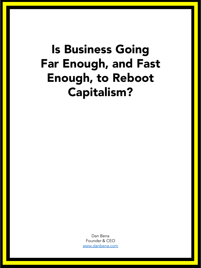## Is Business Going Far Enough, and Fast Enough, to Reboot Capitalism?

Dan Bena Founder & CEO [www.danbena.com](http://www.danbena.com/)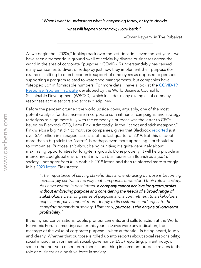## "*When I want to understand what is happening today, or try to decide*

*what will happen tomorrow, I look back."*

--Omar Kayyam, in The Rubaiyat

As we begin the "2020s," looking back over the last decade—even the last year—we have seen a tremendous ground swell of activity by diverse businesses across the world in the area of corporate "purpose." COVID-19 understandably has caused many companies to divert or redeploy just how they implement their purpose (for example, shifting to direct economic support of employees as opposed to perhaps supporting a program related to watershed management), but companies have ["stepped up" in formidable numbers. For more detail, have a look at the](https://www.wbcsd.org/WBCSD-COVID-19-Response-Program) COVID-19 Response Program microsite developed by the World Business Council for Sustainable Development (WBCSD), which includes many examples of company responses across sectors and across disciplines.

Before the pandemic turned the world upside down, arguably, one of the most potent catalysts for that increase in corporate commitments, campaigns, and strategy redesigns to align more fully with the company's purpose was the letter to CEOs issued by Blackrock CEO, Larry Fink. Admittedly, in the "carrot and stick metaphor," Fink wields a big "stick" to motivate companies, given that Blackrock [reported](https://ir.blackrock.com/files/doc_financials/2019/Q4/BLK-4Q19-Earnings-Release.pdf) just over \$7.4 trillion in managed assets as of the last quarter of 2019. But this is about more than a big stick; the "carrot" is perhaps even more appealing—or should be to companies. Purpose isn't about being punitive; it's quite genuinely about maximizing opportunities for long-term growth. Done properly, it will help provide an interconnected global environment in which businesses can flourish as *a part of* society—not *apart from it*. In both his 2019 letter, and then reinforced more strongly in his [2020 letter,](https://www.blackrock.com/corporate/investor-relations/larry-fink-ceo-letter) Fink states:

"*The importance of serving stakeholders and embracing purpose is becoming*  increasingly central to the way that companies understand their role in society. *As I have written in past letters, a company cannot achieve long-term profits without embracing purpose and considering the needs of a broad range of stakeholders…a strong sense of purpose and a commitment to stakeholders helps a company connect more deeply to its customers and adjust to the changing demands of society. Ultimately, purpose is the engine of long-term profitability.*"

If the myriad conversations, public pronouncements, and calls to action at the World Economic Forum's meeting earlier this year in Davos were any indication, the message of the value of corporate purpose—when authentic—is being heard, loudly and clearly. Whether that purpose is rolled up into reports about social responsibility; social impact; environmental, social, governance (ESG) reporting; philanthropy; or some other not-yet-coined term, there is one thing in common: purpose relates to the role of business as a positive force in society.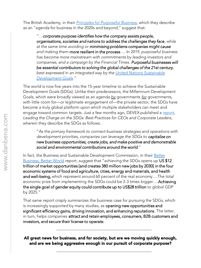The British Academy, in their *[Principles for Purposeful Business](https://www.thebritishacademy.ac.uk/publications/future-of-the-corporation-principles-for-purposeful-business)*, which they describe as an "agenda for business in the 2020s and beyond," suggest that:

*"…corporate purpose identifies how the company assists people, organisations, societies and nations to address the challenges they face, while at the same time avoiding or minimising problems companies might cause and making them more resilient in the process…. In 2019, purposeful business has become more mainstream with commitments by leading investors and companies, and a campaign by the Financial Times. Purposeful businesses will be essential contributors to solving the global challenges of the 21st century, [best expressed in an integrated way by the United Nations Sustainable](https://sustainabledevelopment.un.org/?menu=1300)  Development Goals."*

The world is now five years into the 15-year timeline to achieve the Sustainable Development Goals (SDGs). Unlike their predecessors, the Millennium Development Goals, which were broadly viewed as an agenda *by* governments *for* governments, with little room for—or legitimate engagement of—the private sector, the SDGs have become a truly global platform upon which multiple stakeholders can meet and engage toward common targets. Just a few months ago, DEVEX published a [report](https://pages.devex.com/leading-sdgs), *Leading the Charge on the SDGs: Best Practices for CEOs and Corporate Leaders*, wherein they describe the SDGs as follows:

"*As the primary framework to connect business strategies and operations with development priorities, companies can leverage the SDGs to capitalize on new business opportunities, create jobs, and make positive and demonstrable social and environmental contributions around the world.*"

In fact, the Business and Sustainable Development Commission, in their Better Business, Better World report, suggest that "achieving the SDGs opens up US\$12 trillion of market opportunities [and creates 380 million new jobs by 2030] in the four economic systems of food and agriculture, cities, energy and materials, and health and well-being, which represent around 60 percent of the real economy….The total economic prize from implementing the SDGs could be 2-3 times bigger….Achieving the single goal of gender equity could contribute up to US\$28 trillion to global GDP by 2025."

That same report crisply summarizes the business case for pursuing the SDGs, which is increasingly supported by many studies, as opening new opportunities and significant efficiency gains, driving innovation, and enhancing reputations. The latter, in turn, helps companies attract and retain employees, consumers, B2B customers and investors, and secure their license to operate.

All great news for business, and for society, but are we moving quickly enough, and are we being aggressive enough in our pursuit of corporate purpose?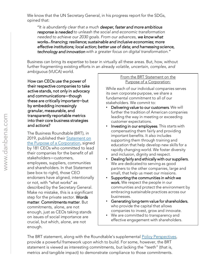We know that the UN Secretary General, in his progress report for the SDGs, opined that:

"*It is abundantly clear that a much deeper, faster and more ambitious response is needed to unleash the social and economic transformation needed to achieve our 2030 goals. From our advances, we know what works…financing; resilience; sustainable and inclusive economies; more effective institutions; local action; better use of data; and harnessing science, technology and innovation with a greater focus on digital transformation."*

Business can bring its expertise to bear in virtually all these areas. But, how, without further fragmenting existing efforts in an already *volatile, uncertain, complex, and ambiguous* (VUCA) world.

How can CEOs use the power of their respective companies to take active stands, not only in advocacy and communications**—**though these are critically important**—**but by embedding increasingly granular, measurable, and transparently reportable metrics into their core business strategies and actions?

The Business Roundtable (BRT), in 2019, published their Statement on [the Purpose of a Corporation, signe](https://opportunity.businessroundtable.org/wp-content/uploads/2019/12/BRT-Statement-on-the-Purpose-of-a-Corporation-with-Signatures.pdf)d by 181 CEOs who committed to lead their companies for the benefit of all stakeholders—customers, employees, suppliers, communities and shareholders. In that Statement (see box to right), those CEO endorsers have aligned, intentionally or not, with "what works" as described by the Secretary General. Make no mistake, this is a significant step for the private sector. Words matter. Commitments matter. But commitments, alone, are not enough, just as CEOs taking stands on issues of social importance are crucial, but which, alone, are not enough.

## From the BRT Statement on the Purpose of a Corporation:

While each of our individual companies serves its own corporate purpose, we share a fundamental commitment to all of our stakeholders. We commit to:

- Delivering value to our customers. We will further the tradition of American companies leading the way in meeting or exceeding customer expectations.
- Investing in our employees. This starts with compensating them fairly and providing important benefits. It also includes supporting them through training and education that help develop new skills for a rapidly changing world. We foster diversity and inclusion, dignity and respect.
- Dealing fairly and ethically with our suppliers. We are dedicated to serving as good partners to the other companies, large and small, that help us meet our missions.
- Supporting the communities in which we work. We respect the people in our communities and protect the environment by embracing sustainable practices across our businesses.
- Generating long-term value for shareholders, who provide the capital that allows companies to invest, grow and innovate.
- We are committed to transparency and effective engagement with shareholders.

The BRT statement, along with the Roundtable's supplemental **Policy Perspectives**, provide a powerful framework upon which to build. For some, however, the BRT statement is viewed as interesting commitments, but lacking the "teeth" (that is, metrics and tangible impact) to demonstrate compliance to those commitments.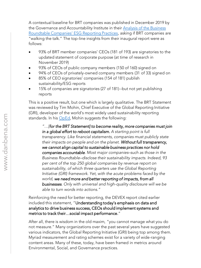A contextual baseline for BRT companies was published in December 2019 by [the Governance and Accountability Institute in their Analysis of the Business](https://www.ga-institute.com/research-reports/resource-papers/gas-analysis-of-the-business-roundtable-companies-esg-reporting-practices-resource-paper.html)  Roundtable Companies' ESG Reporting Practices, asking if BRT companies are "walking the talk." The top-line insights from their inaugural report were as follows:

- 93% of BRT member companies' CEOs (181 of 193) are signatories to the updated statement of corporate purpose (at time of research in November 2019)
- 93% of CEOs of public company members (150 of 160) signed on
- 94% of CEOs of privately-owned company members (31 of 33) signed on
- 85% of CEO signatories' companies (154 of 181) publish sustainability/ESG reports
- 15% of companies are signatories (27 of 181)--but not yet publishing reports

This is a positive result, but one which is largely qualitative. The BRT Statement was reviewed by Tim Mohin, Chief Executive of the Global Reporting Initiative (GRI), developer of the world's most widely used sustainability reporting standards. In his [OpEd](https://timmohin.com/2019/10/if-capitalism-wants-to-match-the-reboot-rhetoric-it-must-become-transparent/), Mohin suggests the following:

*"…[for the BRT Statement] to become reality, more companies must join in a global effort to reboot capitalism. A starting point is full transparency. Like financial statements, companies must publicly state their impacts on people and on the planet. Without full transparency, we cannot align capital to sustainable business practices nor hold companies accountable. Most major companies–such as those in the Business Roundtable–disclose their sustainability impacts. Indeed, 93 per cent of the top 250 global companies by revenue report on sustainability, of which three quarters use the Global Reporting Initiative (GRI) framework. Yet, with the acute problems faced by the world, we need more and better reporting of impacts, from all businesses. Only with universal and high-quality disclosure will we be able to turn words into actions."*

Reinforcing the need for better reporting, the DEVEX report cited earlier included this statement, "Understanding today's emphasis on data and analytics to drive business success, CEOs should implement systems and metrics to track their…social impact performance."

After all, there is wisdom in the old maxim, "you cannot manage what you do not measure." Many organizations over the past several years have suggested various indicators, the Global Reporting Initiative (GRI) being top among them. Myriad measurement and rating schemes exist for a variety of wide-ranging content areas. Many of these, today, have been framed in metrics around Environmental, Social, and Governance practices.